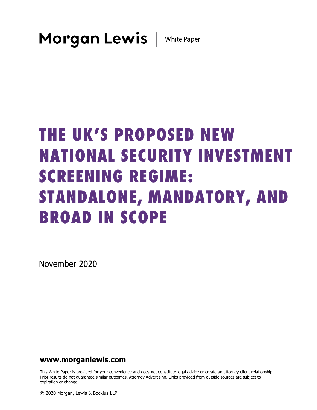# THE UK'S PROPOSED NEW NATIONAL SECURITY INVESTMENT SCREENING REGIME: STANDALONE, MANDATORY, AND BROAD IN SCOPE

November 2020

### **www.morganlewis.com**

This White Paper is provided for your convenience and does not constitute legal advice or create an attorney-client relationship. Prior results do not guarantee similar outcomes. Attorney Advertising. Links provided from outside sources are subject to expiration or change.

© 2020 Morgan, Lewis & Bockius LLP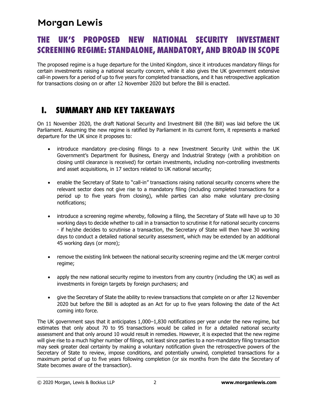### THE UK'S PROPOSED NEW NATIONAL SECURITY INVESTMENT SCREENING REGIME: STANDALONE, MANDATORY, AND BROAD IN SCOPE

The proposed regime is a huge departure for the United Kingdom, since it introduces mandatory filings for certain investments raising a national security concern, while it also gives the UK government extensive call-in powers for a period of up to five years for completed transactions, and it has retrospective application for transactions closing on or after 12 November 2020 but before the Bill is enacted.

### I. SUMMARY AND KEY TAKEAWAYS

On 11 November 2020, the draft National Security and Investment Bill (the Bill) was laid before the UK Parliament. Assuming the new regime is ratified by Parliament in its current form, it represents a marked departure for the UK since it proposes to:

- introduce mandatory pre-closing filings to a new Investment Security Unit within the UK Government's Department for Business, Energy and Industrial Strategy (with a prohibition on closing until clearance is received) for certain investments, including non-controlling investments and asset acquisitions, in 17 sectors related to UK national security;
- enable the Secretary of State to "call-in" transactions raising national security concerns where the relevant sector does not give rise to a mandatory filing (including completed transactions for a period up to five years from closing), while parties can also make voluntary pre-closing notifications;
- introduce a screening regime whereby, following a filing, the Secretary of State will have up to 30 working days to decide whether to call in a transaction to scrutinise it for national security concerns - if he/she decides to scrutinise a transaction, the Secretary of State will then have 30 working days to conduct a detailed national security assessment, which may be extended by an additional 45 working days (or more);
- remove the existing link between the national security screening regime and the UK merger control regime;
- apply the new national security regime to investors from any country (including the UK) as well as investments in foreign targets by foreign purchasers; and
- give the Secretary of State the ability to review transactions that complete on or after 12 November 2020 but before the Bill is adopted as an Act for up to five years following the date of the Act coming into force.

The UK government says that it anticipates 1,000–1,830 notifications per year under the new regime, but estimates that only about 70 to 95 transactions would be called in for a detailed national security assessment and that only around 10 would result in remedies. However, it is expected that the new regime will give rise to a much higher number of filings, not least since parties to a non-mandatory filing transaction may seek greater deal certainty by making a voluntary notification given the retrospective powers of the Secretary of State to review, impose conditions, and potentially unwind, completed transactions for a maximum period of up to five years following completion (or six months from the date the Secretary of State becomes aware of the transaction).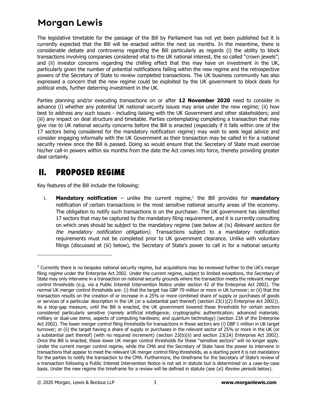The legislative timetable for the passage of the Bill by Parliament has not yet been published but it is currently expected that the Bill will be enacted within the next six months. In the meantime, there is considerable debate and controversy regarding the Bill particularly as regards (i) the ability to block transactions involving companies considered vital to the UK national interest, the so called "crown jewels"; and (ii) investor concerns regarding the chilling effect that this may have on investment in the UK, particularly given the number of potential notifications falling within the new regime and the retrospective powers of the Secretary of State to review completed transactions. The UK business community has also expressed a concern that the new regime could be exploited by the UK government to block deals for political ends, further deterring investment in the UK.

Parties planning and/or executing transactions on or after **12 November 2020** need to consider in advance (i) whether any potential UK national security issues may arise under the new regime; (ii) how best to address any such issues - including liaising with the UK Government and other stakeholders; and (iii) any impact on deal structure and timetable. Parties contemplating completing a transaction that may give rise to UK national security concerns before the Bill is enacted (especially if it falls within one of the 17 sectors being considered for the mandatory notification regime) may wish to seek legal advice and consider engaging informally with the UK Government as their transaction may be called in for a national security review once the Bill is passed. Doing so would ensure that the Secretary of State must exercise his/her call-in powers within six months from the date the Act comes into force, thereby providing greater deal certainty.

### II. PROPOSED REGIME

Key features of the Bill include the following:

i. **Mandatory notification** – unlike the current regime,<sup>[1](#page-2-0)</sup> the Bill provides for **mandatory** notification of certain transactions in the most sensitive national security areas of the economy. The obligation to notify such transactions is on the purchaser. The UK government has identified 17 sectors that may be captured by the mandatory filing requirement, and it is currently consulting on which ones should be subject to the mandatory regime (see below at ([ix\)](#page-5-0) Relevant sectors for the mandatory notification obligation). Transactions subject to a mandatory notification requirements must not be completed prior to UK government clearance. Unlike with voluntary filings (discussed at [\(iii](#page-3-0)) below), the Secretary of State's power to call in for a national security

<span id="page-2-0"></span> $1$  Currently there is no bespoke national security regime, but acquisitions may be reviewed further to the UK's merger filing regime under the Enterprise Act 2002. Under the current regime, subject to limited exceptions, the Secretary of State may only intervene in a transaction on national security grounds where the transaction meets the relevant merger control thresholds (e.g. via a Public Interest Intervention Notice under section 42 of the Enterprise Act 2002). The normal UK merger control thresholds are: (i) that the target has GBP 70 million or more in UK turnover; or (ii) that the transaction results on the creation of or increase in a 25% or more combined share of supply or purchases of goods or services of a particular description in the UK (or a substantial part thereof) (section 23(1)(2) Enterprise Act 2002)). As a stop-gap measure, until the Bill is enacted, the UK government lowered these thresholds for certain sectors considered particularly sensitive (namely artificial intelligence; cryptographic authentication; advanced materials; military or dual-use items; aspects of computing hardware; and quantum technology) (section 23A of the Enterprise Act 2002). The lower merger control filing thresholds for transactions in those sectors are (i) GBP 1 million in UK target turnover; or (ii) the target having a share of supply or purchases in the relevant sector of 25% or more in the UK (or a substantial part thereof) (with no required increment) (section 23(b)(ii) and section 23(2A) Enterprise Act 2002). Once the Bill is enacted, these lower UK merger control thresholds for these "sensitive sectors" will no longer apply. Under the current merger control regime, while the CMA and the Secretary of State have the power to intervene in transactions that appear to meet the relevant UK merger control filing thresholds, as a starting point it is not mandatory for the parties to notify the transaction to the CMA. Furthermore, the timeframe for the Secretary of State's review of a transaction following a Public Interest Intervention Notice is not set in statute but is determined on a case-by-case basis. Under the new regime the timeframe for a review will be defined in statute (see (xi) Review periods below).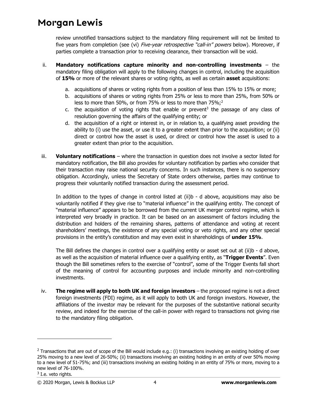review unnotified transactions subject to the mandatory filing requirement will not be limited to five years from completion (see [\(vi](#page-4-0)) Five-year retrospective "call-in" powers below). Moreover, if parties complete a transaction prior to receiving clearance, their transaction will be void.

- <span id="page-3-2"></span><span id="page-3-1"></span>ii. **Mandatory notifications capture minority and non-controlling investments** – the mandatory filing obligation will apply to the following changes in control, including the acquisition of **15%** or more of the relevant shares or voting rights, as well as certain **asset** acquisitions:
	- a. acquisitions of shares or voting rights from a position of less than 15% to 15% or more;
	- b. acquisitions of shares or voting rights from 25% or less to more than 25%, from 50% or less to more than 50%, or from 75% or less to more than 75%;<sup>[2](#page-3-4)</sup>
	- c. the acquisition of voting rights that enable or prevent<sup>[3](#page-3-5)</sup> the passage of any class of resolution governing the affairs of the qualifying entity; or
	- d. the acquisition of a right or interest in, or in relation to, a qualifying asset providing the ability to (i) use the asset, or use it to a greater extent than prior to the acquisition; or (ii) direct or control how the asset is used, or direct or control how the asset is used to a greater extent than prior to the acquisition.
- <span id="page-3-3"></span><span id="page-3-0"></span>iii. **Voluntary notifications** – where the transaction in question does not involve a sector listed for mandatory notification, the Bill also provides for voluntary notification by parties who consider that their transaction may raise national security concerns. In such instances, there is no suspensory obligation. Accordingly, unless the Secretary of State orders otherwise, parties may continue to progress their voluntarily notified transaction during the assessment period.

In addition to the types of change in control listed at ([ii](#page-3-1)[\)b](#page-3-2) - [d](#page-3-3) above, acquisitions may also be voluntarily notified if they give rise to "material influence" in the qualifying entity. The concept of "material influence" appears to be borrowed from the current UK merger control regime, which is interpreted very broadly in practice. It can be based on an assessment of factors including the distribution and holders of the remaining shares, patterns of attendance and voting at recent shareholders' meetings, the existence of any special voting or veto rights, and any other special provisions in the entity's constitution and may even exist in shareholdings of **under 15%**.

The Bill defines the changes in control over a qualifying entity or asset set out at ([ii\)](#page-3-1)[b](#page-3-2) - [d](#page-3-3) above, as well as the acquisition of material influence over a qualifying entity, as "**Trigger Events**". Even though the Bill sometimes refers to the exercise of "control", some of the Trigger Events fall short of the meaning of control for accounting purposes and include minority and non-controlling investments.

iv. **The regime will apply to both UK and foreign investors** – the proposed regime is not a direct foreign investments (FDI) regime, as it will apply to both UK and foreign investors. However, the affiliations of the investor may be relevant for the purposes of the substantive national security review, and indeed for the exercise of the call-in power with regard to transactions not giving rise to the mandatory filing obligation.

<span id="page-3-4"></span><sup>&</sup>lt;sup>2</sup> Transactions that are out of scope of the Bill would include e.g.: (i) transactions involving an existing holding of over 25% moving to a new level of 26-50%; (ii) transactions involving an existing holding in an entity of over 50% moving to a new level of 51-75%; and (iii) transactions involving an existing holding in an entity of 75% or more, moving to a new level of 76-100%.

<span id="page-3-5"></span> $3$  I.e. veto rights.

<sup>© 2020</sup> Morgan, Lewis & Bockius LLP 4 **www.morganlewis.com**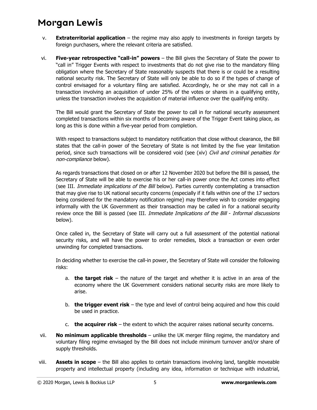- v. **Extraterritorial application**  the regime may also apply to investments in foreign targets by foreign purchasers, where the relevant criteria are satisfied.
- <span id="page-4-0"></span>vi. **Five-year retrospective "call-in" powers** – the Bill gives the Secretary of State the power to "call in" Trigger Events with respect to investments that do not give rise to the mandatory filing obligation where the Secretary of State reasonably suspects that there is or could be a resulting national security risk. The Secretary of State will only be able to do so if the types of change of control envisaged for a voluntary filing are satisfied. Accordingly, he or she may not call in a transaction involving an acquisition of under 25% of the votes or shares in a qualifying entity, unless the transaction involves the acquisition of material influence over the qualifying entity.

The Bill would grant the Secretary of State the power to call in for national security assessment completed transactions within six months of becoming aware of the Trigger Event taking place, as long as this is done within a five-year period from completion.

With respect to transactions subject to mandatory notification that close without clearance, the Bill states that the call-in power of the Secretary of State is not limited by the five year limitation period, since such transactions will be considered void (see ([xiv](#page-6-0)) Civil and criminal penalties for non-compliance below).

As regards transactions that closed on or after 12 November 2020 but before the Bill is passed, the Secretary of State will be able to exercise his or her call-in power once the Act comes into effect (see [III.](#page-6-1) Immediate implications of the Bill below). Parties currently contemplating a transaction that may give rise to UK national security concerns (especially if it falls within one of the 17 sectors being considered for the mandatory notification regime) may therefore wish to consider engaging informally with the UK Government as their transaction may be called in for a national security review once the Bill is passed (see [III](#page-6-1). Immediate Implications of the Bill - Informal discussions below).

Once called in, the Secretary of State will carry out a full assessment of the potential national security risks, and will have the power to order remedies, block a transaction or even order unwinding for completed transactions.

In deciding whether to exercise the call-in power, the Secretary of State will consider the following risks:

- a. **the target risk** the nature of the target and whether it is active in an area of the economy where the UK Government considers national security risks are more likely to arise.
- b. **the trigger event risk** the type and level of control being acquired and how this could be used in practice.
- c. **the acquirer risk** the extent to which the acquirer raises national security concerns.
- vii. **No minimum applicable thresholds**  unlike the UK merger filing regime, the mandatory and voluntary filing regime envisaged by the Bill does not include minimum turnover and/or share of supply thresholds.
- viii. **Assets in scope** the Bill also applies to certain transactions involving land, tangible moveable property and intellectual property (including any idea, information or technique with industrial,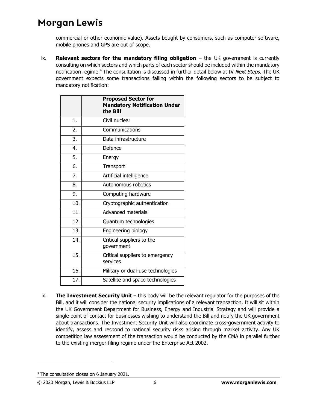commercial or other economic value). Assets bought by consumers, such as computer software, mobile phones and GPS are out of scope.

<span id="page-5-2"></span><span id="page-5-0"></span>ix. **Relevant sectors for the mandatory filing obligation** – the UK government is currently consulting on which sectors and which parts of each sector should be included within the mandatory notification regime.<sup>[4](#page-5-1)</sup> The consultation is discussed in further detail below at [IV](#page-7-0) Next Steps. The UK government expects some transactions falling within the following sectors to be subject to mandatory notification:

|                  | <b>Proposed Sector for</b><br><b>Mandatory Notification Under</b><br>the Bill |
|------------------|-------------------------------------------------------------------------------|
| 1.               | Civil nuclear                                                                 |
| 2.               | Communications                                                                |
| 3.               | Data infrastructure                                                           |
| 4.               | Defence                                                                       |
| 5.               | Energy                                                                        |
| 6.               | Transport                                                                     |
| $\overline{7}$ . | Artificial intelligence                                                       |
| 8.               | Autonomous robotics                                                           |
| 9.               | Computing hardware                                                            |
| 10.              | Cryptographic authentication                                                  |
| 11.              | <b>Advanced materials</b>                                                     |
| 12.              | Quantum technologies                                                          |
| 13.              | Engineering biology                                                           |
| 14.              | Critical suppliers to the<br>government                                       |
| 15.              | Critical suppliers to emergency<br>services                                   |
| 16.              | Military or dual-use technologies                                             |
| 17.              | Satellite and space technologies                                              |

x. **The Investment Security Unit** – this body will be the relevant regulator for the purposes of the Bill, and it will consider the national security implications of a relevant transaction. It will sit within the UK Government Department for Business, Energy and Industrial Strategy and will provide a single point of contact for businesses wishing to understand the Bill and notify the UK government about transactions. The Investment Security Unit will also coordinate cross-government activity to identify, assess and respond to national security risks arising through market activity. Any UK competition law assessment of the transaction would be conducted by the CMA in parallel further to the existing merger filing regime under the Enterprise Act 2002.

<span id="page-5-1"></span><sup>&</sup>lt;sup>4</sup> The consultation closes on 6 January 2021.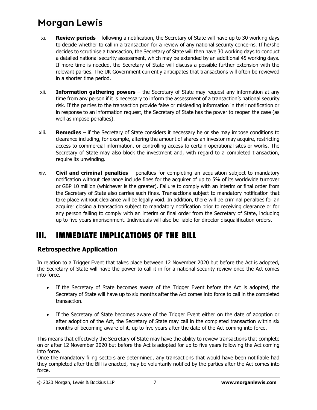- xi. **Review periods** following a notification, the Secretary of State will have up to 30 working days to decide whether to call in a transaction for a review of any national security concerns. If he/she decides to scrutinise a transaction, the Secretary of State will then have 30 working days to conduct a detailed national security assessment, which may be extended by an additional 45 working days. If more time is needed, the Secretary of State will discuss a possible further extension with the relevant parties. The UK Government currently anticipates that transactions will often be reviewed in a shorter time period.
- xii. **Information gathering powers** the Secretary of State may request any information at any time from any person if it is necessary to inform the assessment of a transaction's national security risk. If the parties to the transaction provide false or misleading information in their notification or in response to an information request, the Secretary of State has the power to reopen the case (as well as impose penalties).
- xiii. **Remedies** if the Secretary of State considers it necessary he or she may impose conditions to clearance including, for example, altering the amount of shares an investor may acquire, restricting access to commercial information, or controlling access to certain operational sites or works. The Secretary of State may also block the investment and, with regard to a completed transaction, require its unwinding.
- <span id="page-6-0"></span>xiv. **Civil and criminal penalties** – penalties for completing an acquisition subject to mandatory notification without clearance include fines for the acquirer of up to 5% of its worldwide turnover or GBP 10 million (whichever is the greater). Failure to comply with an interim or final order from the Secretary of State also carries such fines. Transactions subject to mandatory notification that take place without clearance will be legally void. In addition, there will be criminal penalties for an acquirer closing a transaction subject to mandatory notification prior to receiving clearance or for any person failing to comply with an interim or final order from the Secretary of State, including up to five years imprisonment. Individuals will also be liable for director disqualification orders.

### <span id="page-6-1"></span>III. IMMEDIATE IMPLICATIONS OF THE BILL

### **Retrospective Application**

In relation to a Trigger Event that takes place between 12 November 2020 but before the Act is adopted, the Secretary of State will have the power to call it in for a national security review once the Act comes into force.

- If the Secretary of State becomes aware of the Trigger Event before the Act is adopted, the Secretary of State will have up to six months after the Act comes into force to call in the completed transaction.
- If the Secretary of State becomes aware of the Trigger Event either on the date of adoption or after adoption of the Act, the Secretary of State may call in the completed transaction within six months of becoming aware of it, up to five years after the date of the Act coming into force.

This means that effectively the Secretary of State may have the ability to review transactions that complete on or after 12 November 2020 but before the Act is adopted for up to five years following the Act coming into force.

Once the mandatory filing sectors are determined, any transactions that would have been notifiable had they completed after the Bill is enacted, may be voluntarily notified by the parties after the Act comes into force.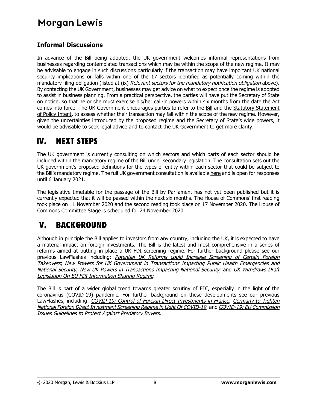### **Informal Discussions**

In advance of the Bill being adopted, the UK government welcomes informal representations from businesses regarding contemplated transactions which may be within the scope of the new regime. It may be advisable to engage in such discussions particularly if the transaction may have important UK national security implications or falls within one of the 17 sectors identified as potentially coming within the mandatory filing obligation (listed at ([ix\)](#page-5-2) Relevant sectors for the mandatory notification obligation above). By contacting the UK Government, businesses may get advice on what to expect once the regime is adopted to assist in business planning. From a practical perspective, the parties will have put the Secretary of State on notice, so that he or she must exercise his/her call-in powers within six months from the date the Act comes into force. The UK Government encourages parties to refer to the [Bill](https://publications.parliament.uk/pa/bills/cbill/58-01/0210/20210.pdf) and the Statutory Statement [of Policy Intent, to assess whether their transaction may fall within the scope of the new regime. However,](https://www.gov.uk/government/publications/national-security-and-investment-bill-2020/statement-of-policy-intent)  given the uncertainties introduced by the proposed regime and the Secretary of State's wide powers, it would be advisable to seek legal advice and to contact the UK Government to get more clarity.

### <span id="page-7-0"></span>IV. NEXT STEPS

The UK government is currently consulting on which sectors and which parts of each sector should be included within the mandatory regime of the Bill under secondary legislation. The consultation sets out the UK government's proposed definitions for the types of entity within each sector that could be subject to the Bill's mandatory regime. The full UK government consultation is available [here](https://assets.publishing.service.gov.uk/government/uploads/system/uploads/attachment_data/file/935774/nsi-consultation.pdf) and is open for responses until 6 January 2021.

The legislative timetable for the passage of the Bill by Parliament has not yet been published but it is currently expected that it will be passed within the next six months. The House of Commons' first reading took place on 11 November 2020 and the second reading took place on 17 November 2020. The House of Commons Committee Stage is scheduled for 24 November 2020.

### V. BACKGROUND

Although in principle the Bill applies to investors from any country, including the UK, it is expected to have a material impact on foreign investments. The Bill is the latest and most comprehensive in a series of reforms aimed at putting in place a UK FDI screening regime. For further background please see our previous LawFlashes including: [Potential](https://www.morganlewis.com/pubs/2020/06/potential-uk-reforms-could-increase-screening-of-certain-foreign-takeovers-cv19-lf) [UK](https://www.morganlewis.com/pubs/2020/06/potential-uk-reforms-could-increase-screening-of-certain-foreign-takeovers-cv19-lf) [Reforms](https://www.morganlewis.com/pubs/2020/06/potential-uk-reforms-could-increase-screening-of-certain-foreign-takeovers-cv19-lf) [could](https://www.morganlewis.com/pubs/2020/06/potential-uk-reforms-could-increase-screening-of-certain-foreign-takeovers-cv19-lf) [Increase](https://www.morganlewis.com/pubs/2020/06/potential-uk-reforms-could-increase-screening-of-certain-foreign-takeovers-cv19-lf) [Screening](https://www.morganlewis.com/pubs/2020/06/potential-uk-reforms-could-increase-screening-of-certain-foreign-takeovers-cv19-lf) [of](https://www.morganlewis.com/pubs/2020/06/potential-uk-reforms-could-increase-screening-of-certain-foreign-takeovers-cv19-lf) [Certain](https://www.morganlewis.com/pubs/2020/06/potential-uk-reforms-could-increase-screening-of-certain-foreign-takeovers-cv19-lf) [Foreign](https://www.morganlewis.com/pubs/2020/06/potential-uk-reforms-could-increase-screening-of-certain-foreign-takeovers-cv19-lf) Takeovers; [New](https://www.morganlewis.com/pubs/2020/06/potential-uk-reforms-could-increase-screening-of-certain-foreign-takeovers-cv19-lf) [Powers](https://www.morganlewis.com/pubs/2020/06/potential-uk-reforms-could-increase-screening-of-certain-foreign-takeovers-cv19-lf) [for](https://www.morganlewis.com/pubs/2020/06/potential-uk-reforms-could-increase-screening-of-certain-foreign-takeovers-cv19-lf) [UK](https://www.morganlewis.com/pubs/2020/06/potential-uk-reforms-could-increase-screening-of-certain-foreign-takeovers-cv19-lf) [Government](https://www.morganlewis.com/pubs/2020/06/potential-uk-reforms-could-increase-screening-of-certain-foreign-takeovers-cv19-lf) [in](https://www.morganlewis.com/pubs/2020/06/potential-uk-reforms-could-increase-screening-of-certain-foreign-takeovers-cv19-lf) [Transactions](https://www.morganlewis.com/pubs/2020/06/potential-uk-reforms-could-increase-screening-of-certain-foreign-takeovers-cv19-lf) [Impacting](https://www.morganlewis.com/pubs/2020/06/potential-uk-reforms-could-increase-screening-of-certain-foreign-takeovers-cv19-lf) [Public](https://www.morganlewis.com/pubs/2020/06/potential-uk-reforms-could-increase-screening-of-certain-foreign-takeovers-cv19-lf) [Health](https://www.morganlewis.com/pubs/2020/06/potential-uk-reforms-could-increase-screening-of-certain-foreign-takeovers-cv19-lf) [Emergencies](https://www.morganlewis.com/pubs/2020/06/potential-uk-reforms-could-increase-screening-of-certain-foreign-takeovers-cv19-lf) [and](https://www.morganlewis.com/pubs/2020/06/potential-uk-reforms-could-increase-screening-of-certain-foreign-takeovers-cv19-lf) [N](https://www.morganlewis.com/pubs/2020/06/new-powers-for-uk-government-in-transactions-impacting-public-health-emergencies-and-national-security-cv19-lf)ational Security; N[ew UK Powers in Transactions Impacting National Security](https://www.morganlewis.com/pubs/2020/07/new-uk-powers-in-transactions-impacting-national-security-cv19-lf); and [UK](https://www.morganlewis.com/pubs/2020/09/uk-withdraws-draft-legislation-on-eu-fdi-information-sharing-regime) [Withdraws](https://www.morganlewis.com/pubs/2020/09/uk-withdraws-draft-legislation-on-eu-fdi-information-sharing-regime) [Draft](https://www.morganlewis.com/pubs/2020/09/uk-withdraws-draft-legislation-on-eu-fdi-information-sharing-regime) [Legislation On EU FDI Information Sharing Regime](https://www.morganlewis.com/pubs/2020/09/uk-withdraws-draft-legislation-on-eu-fdi-information-sharing-regime).

The Bill is part of a wider global trend towards greater scrutiny of FDI, especially in the light of the coronavirus (COVID-19) pandemic. For further background on these developments see our previous LawFlashes, including: [COVID-19: Control of Foreign Direct Investments in France](https://www.morganlewis.com/pubs/2020/05/covid-19-control-of-foreign-direct-investments-in-france-cv19-lf); Germany to Tighten [National Foreign Direct Investment Screening Regime in Light Of COVID-19](https://www.morganlewis.com/pubs/2020/05/germany-to-tighten-national-foreign-direct-investment-screening-regime-in-light-of-covid-19-cv19-lf); and [COVID-19: EU Commission](https://www.morganlewis.com/pubs/covid-19-eu-commission-issues-guidelines-to-protect-against-predatory-buyers)  [Issues Guidelines to Protect Against Predatory Buyers](https://www.morganlewis.com/pubs/covid-19-eu-commission-issues-guidelines-to-protect-against-predatory-buyers).